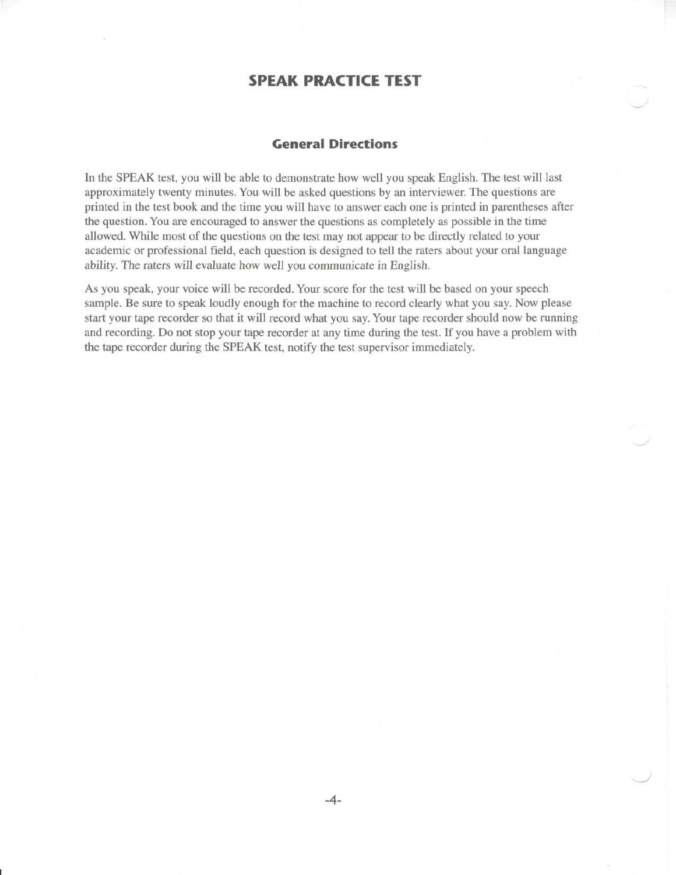## **SPEAK PRACTICE TEST**

## **General Directions**

In the SPEAK test, you will be able to demonstrate how well you speak English. The test will last approximately twenty minutes. You will be asked questions by an interviewer. The questions are printed in the test book and the time you will have to answer each one is printed in parentheses after the question. You are encouraged to answer the questions as completely as possible in the time allowed. While most of the questions on the test may not appear to be directly related to your academic or professional field, each question is designed to tell the raters about your oral language ability. The raters will evaluate how well you communicate in English.

As you speak, your voice will be recorded. Your score for the test will be based on your speech sample. Be sure to speak loudly enough for the machine to record clearly what you say. Now please start your tape recorder so that it will record what you say. Your tape recorder should now be running and recording. Do not stop your tape recorder at any time during the test. If you have a problem with the tape recorder during the SPEAK test, notify the test supervisor immediately.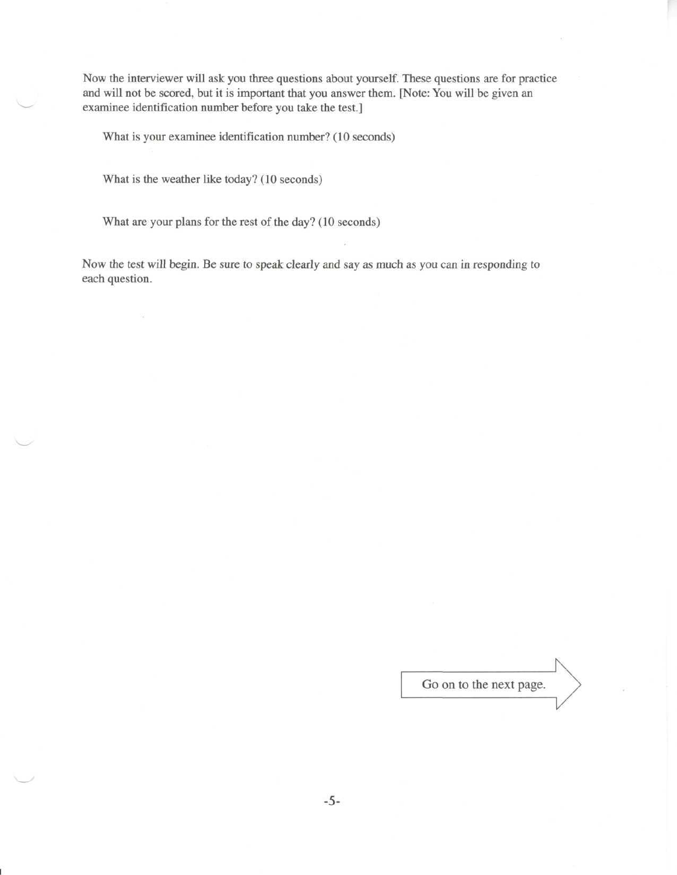Now the interviewer will ask you three questions about yourself. These questions are for practice and will not be scored, but it is important that you answer them. [Note: You will be given an examinee identification number before you take the test.]

What is your examinee identification number? (10 seconds)

What is the weather like today? (10 seconds)

What are your plans for the rest of the day? (10 seconds)

Now the test will begin. Be sure to speak clearly and say as much as you can in responding to each question.

Go on to the next page.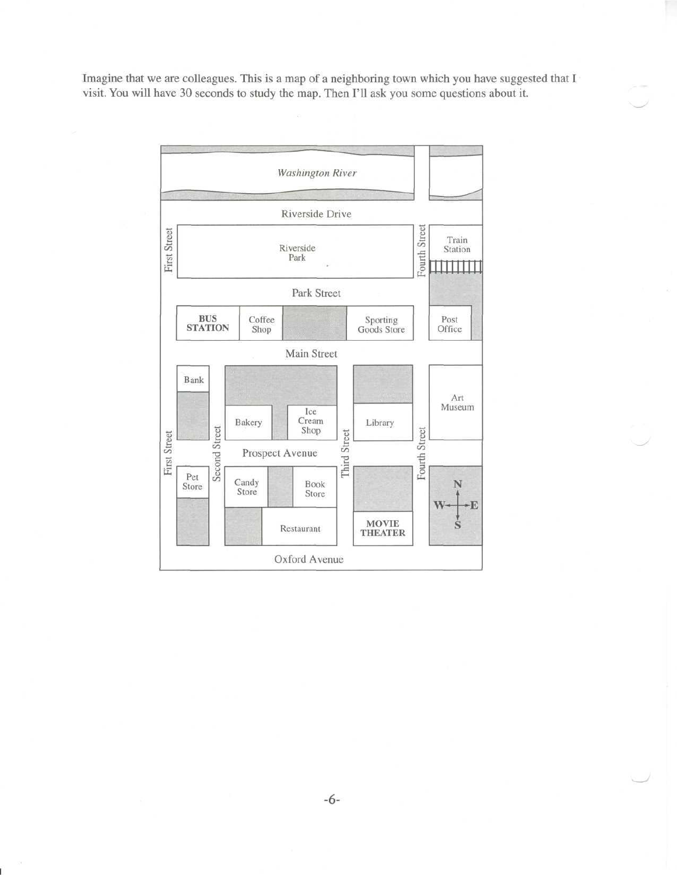Imagine that we are colleagues. This is a map of a neighboring town which you have suggested that I visit. You will have 30 seconds to study the map. Then I'll ask you some questions about it.

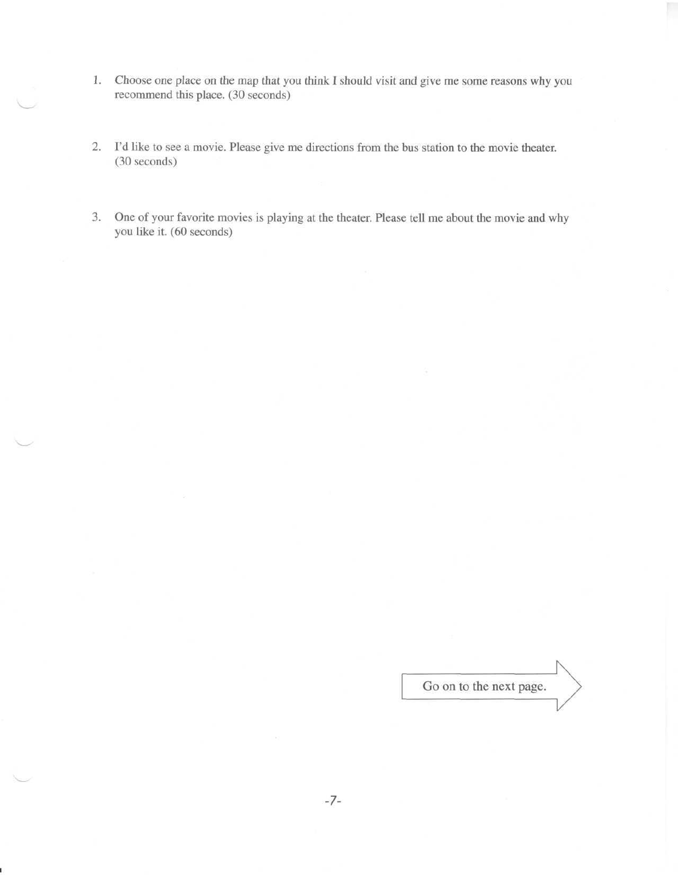- 1. Choose one place on the map that you think I should visit and give me some reasons why you recommend this place. (30 seconds)
- 2. I'd like to see a movie. Please give me directions from the bus station to the movie theater. (30 seconds)

>—•

3. One of your favorite movies is playing at the theater. Please tell me about the movie and why you like it. (60 seconds)

Go on to the next page.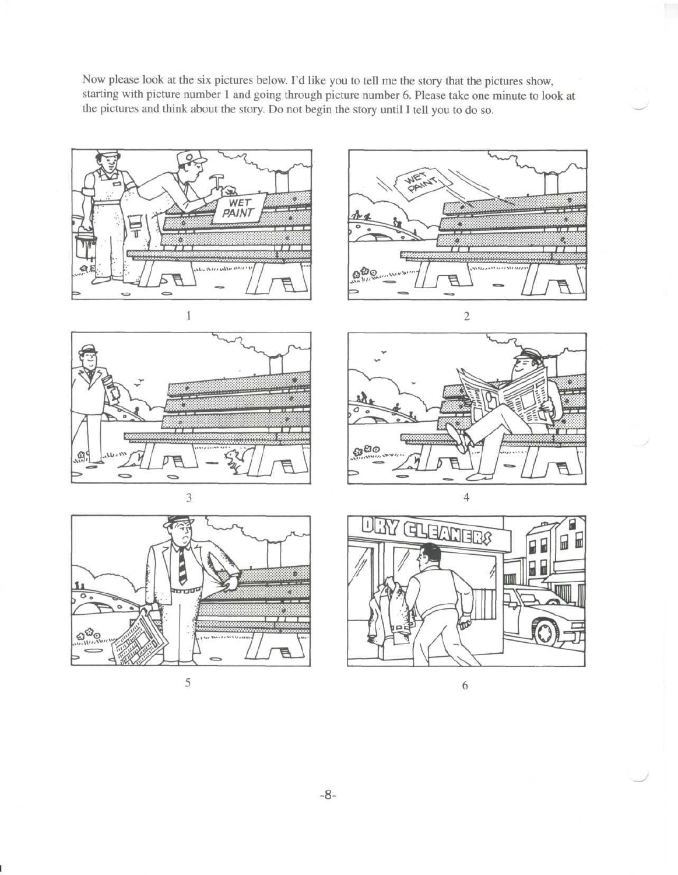Now please look at the six pictures below. I'd like you to tell me the story that the pictures show, starting with picture number 1 and going through picture number 6. Please take one minute to look at the pictures and think about the story. Do not begin the story until I tell you to do so.











 $\sqrt{5}$ 

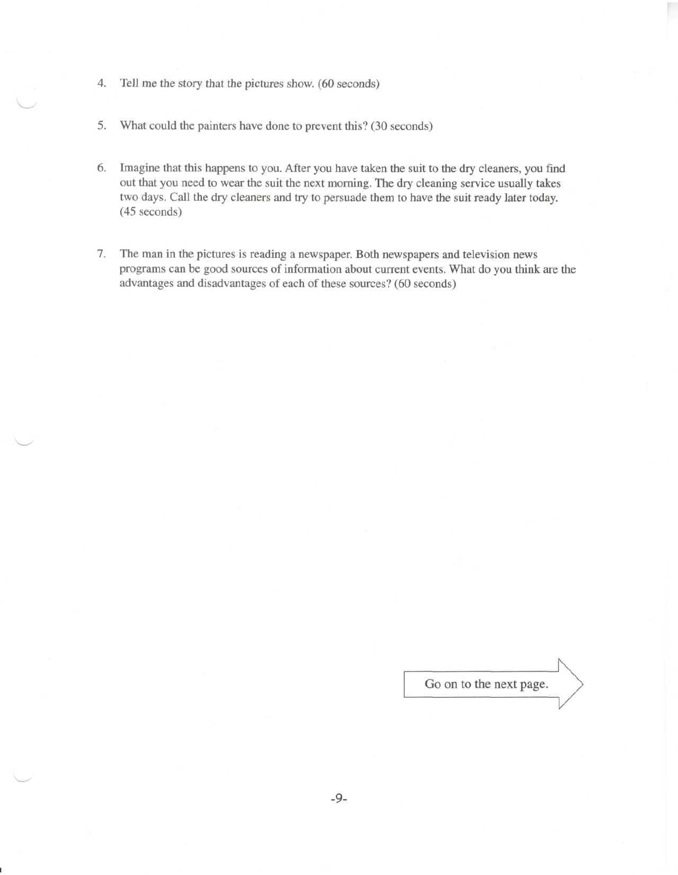- 4. Tell me the story that the pictures show. (60 seconds)
- 5. What could the painters have done to prevent this? (30 seconds)
- 6. Imagine that this happens to you. After you have taken the suit to the dry cleaners, you find out that you need to wear the suit the next morning. The dry cleaning service usually takes two days. Call the dry cleaners and try to persuade them to have the suit ready later today. (45 seconds)
- 7. The man in the pictures is reading a newspaper. Both newspapers and television news programs can be good sources of information about current events. What do you think are the advantages and disadvantages of each of these sources? (60 seconds)

Go on to the next page.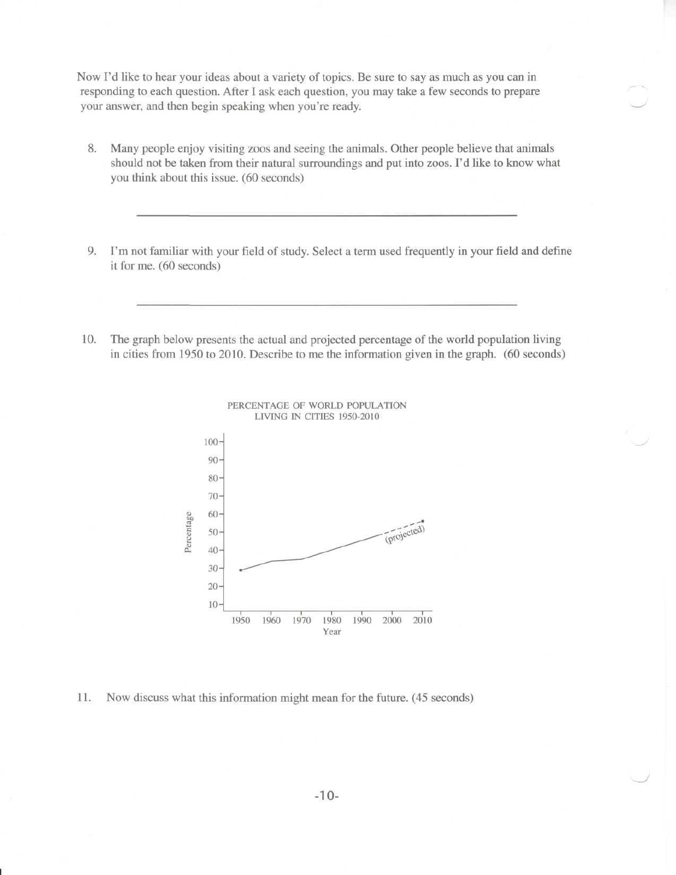Now I'd like to hear your ideas about a variety of topics. Be sure to say as much as you can in responding to each question. After I ask each question, you may take a few seconds to prepare your answer, and then begin speaking when you're ready.

- 8. Many people enjoy visiting zoos and seeing the animals. Other people believe that animals should not be taken from their natural surroundings and put into zoos. I'd like to know what you think about this issue. (60 seconds)
- 9. I'm not familiar with your field of study. Select a term used frequently in your field and define it for me. (60 seconds)
- 10. The graph below presents the actual and projected percentage of the world population living in cities from 1950 to 2010. Describe to me the information given in the graph. (60 seconds)





11. Now discuss what this information might mean for the future. (45 seconds)